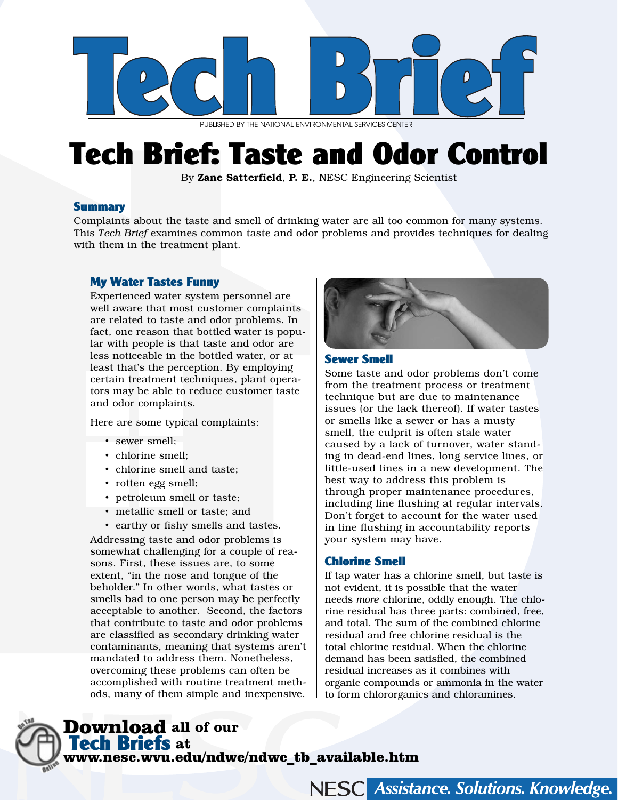

PUBLISHED BY THE NATIONAL ENVIRONMENTAL SERVICES CENTER

# Tech Brief: Taste and Odor Control

By Zane Satterfield, P. E., NESC Engineering Scientist

#### **Summary**

Complaints about the taste and smell of drinking water are all too common for many systems. This *Tech Brief* examines common taste and odor problems and provides techniques for dealing with them in the treatment plant.

### My Water Tastes Funny

Experienced water system personnel are well aware that most customer complaints are related to taste and odor problems. In fact, one reason that bottled water is popular with people is that taste and odor are less noticeable in the bottled water, or at least that's the perception. By employing certain treatment techniques, plant operators may be able to reduce customer taste and odor complaints.

Here are some typical complaints:

- sewer smell;
- chlorine smell;
- chlorine smell and taste;
- rotten egg smell;
- petroleum smell or taste;
- metallic smell or taste; and
- earthy or fishy smells and tastes.

Addressing taste and odor problems is somewhat challenging for a couple of reasons. First, these issues are, to some extent, "in the nose and tongue of the beholder." In other words, what tastes or smells bad to one person may be perfectly acceptable to another. Second, the factors that contribute to taste and odor problems are classified as secondary drinking water contaminants, meaning that systems aren't mandated to address them. Nonetheless, overcoming these problems can often be accomplished with routine treatment methods, many of them simple and inexpensive.



#### Sewer Smell

Some taste and odor problems don't come from the treatment process or treatment technique but are due to maintenance issues (or the lack thereof). If water tastes or smells like a sewer or has a musty smell, the culprit is often stale water caused by a lack of turnover, water standing in dead-end lines, long service lines, or little-used lines in a new development. The best way to address this problem is through proper maintenance procedures, including line flushing at regular intervals. Don't forget to account for the water used in line flushing in accountability reports your system may have.

#### Chlorine Smell

If tap water has a chlorine smell, but taste is not evident, it is possible that the water needs *more* chlorine, oddly enough. The chlorine residual has three parts: combined, free, and total. The sum of the combined chlorine residual and free chlorine residual is the total chlorine residual. When the chlorine demand has been satisfied, the combined residual increases as it combines with organic compounds or ammonia in the water to form chlororganics and chloramines.

NESC Assistance. Solutions. Knowledge.

# Download **all of our**  Tech Briefs **at**  www.nesc.wvu.edu/ndwc/ndwc\_tb\_available.htm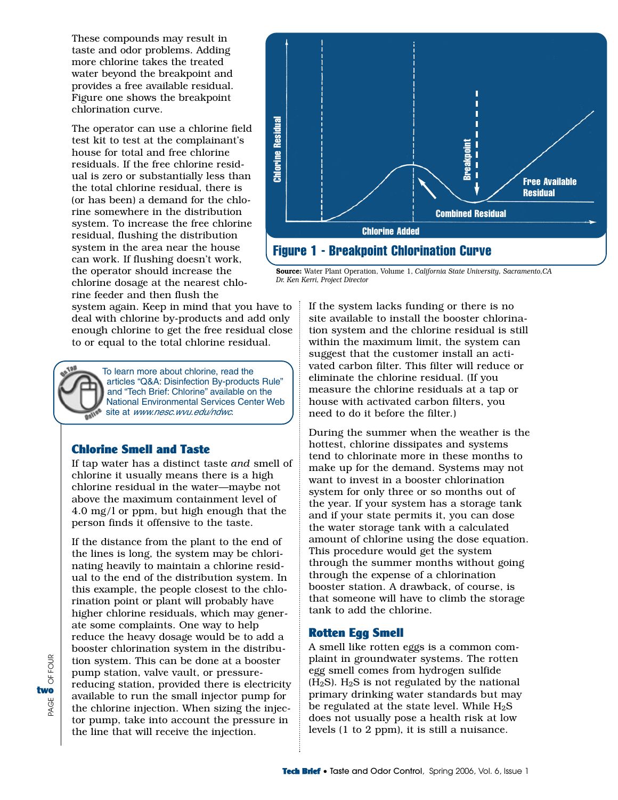These compounds may result in taste and odor problems. Adding more chlorine takes the treated water beyond the breakpoint and provides a free available residual. Figure one shows the breakpoint chlorination curve.

The operator can use a chlorine field test kit to test at the complainant's house for total and free chlorine residuals. If the free chlorine residual is zero or substantially less than the total chlorine residual, there is (or has been) a demand for the chlorine somewhere in the distribution system. To increase the free chlorine residual, flushing the distribution system in the area near the house can work. If flushing doesn't work, the operator should increase the chlorine dosage at the nearest chlorine feeder and then flush the

system again. Keep in mind that you have to deal with chlorine by-products and add only enough chlorine to get the free residual close to or equal to the total chlorine residual.

> To learn more about chlorine, read the articles "Q&A: Disinfection By-products Rule" and "Tech Brief: Chlorine" available on the National Environmental Services Center Web site at www.nesc.wvu.edu/ndwc.

#### Chlorine Smell and Taste

If tap water has a distinct taste *and* smell of chlorine it usually means there is a high chlorine residual in the water—maybe not above the maximum containment level of 4.0 mg/l or ppm, but high enough that the person finds it offensive to the taste.

If the distance from the plant to the end of the lines is long, the system may be chlorinating heavily to maintain a chlorine residual to the end of the distribution system. In this example, the people closest to the chlorination point or plant will probably have higher chlorine residuals, which may generate some complaints. One way to help reduce the heavy dosage would be to add a booster chlorination system in the distribution system. This can be done at a booster pump station, valve vault, or pressurereducing station, provided there is electricity available to run the small injector pump for the chlorine injection. When sizing the injector pump, take into account the pressure in the line that will receive the injection.



Source: Water Plant Operation, Volume 1, *California State University, Sacramento,CA Dr. Ken Kerri, Project Director*

> If the system lacks funding or there is no site available to install the booster chlorination system and the chlorine residual is still within the maximum limit, the system can suggest that the customer install an activated carbon filter. This filter will reduce or eliminate the chlorine residual. (If you measure the chlorine residuals at a tap or house with activated carbon filters, you need to do it before the filter.)

> During the summer when the weather is the hottest, chlorine dissipates and systems tend to chlorinate more in these months to make up for the demand. Systems may not want to invest in a booster chlorination system for only three or so months out of the year. If your system has a storage tank and if your state permits it, you can dose the water storage tank with a calculated amount of chlorine using the dose equation. This procedure would get the system through the summer months without going through the expense of a chlorination booster station. A drawback, of course, is that someone will have to climb the storage tank to add the chlorine.

#### Rotten Egg Smell

A smell like rotten eggs is a common complaint in groundwater systems. The rotten egg smell comes from hydrogen sulfide  $(H<sub>2</sub>S)$ .  $H<sub>2</sub>S$  is not regulated by the national primary drinking water standards but may be regulated at the state level. While  $H_2S$ does not usually pose a health risk at low levels (1 to 2 ppm), it is still a nuisance.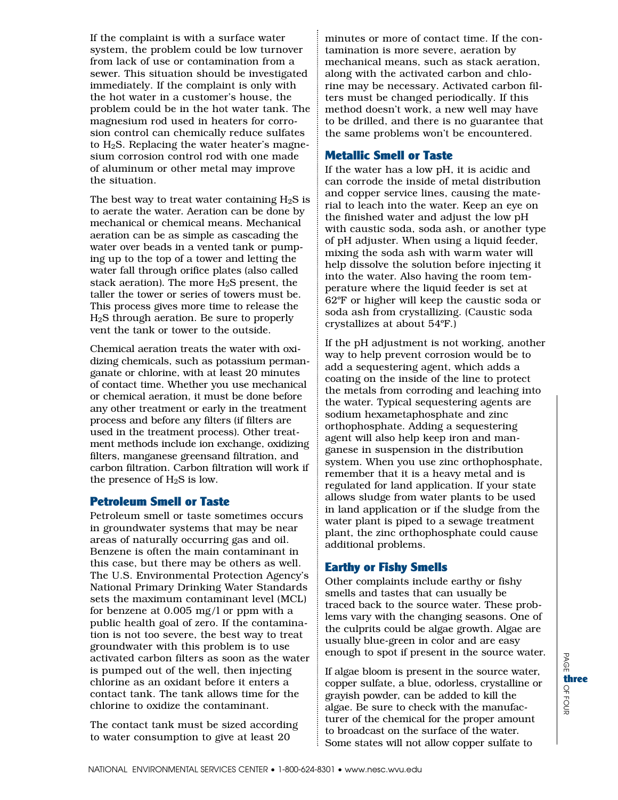If the complaint is with a surface water system, the problem could be low turnover from lack of use or contamination from a sewer. This situation should be investigated immediately. If the complaint is only with the hot water in a customer's house, the problem could be in the hot water tank. The magnesium rod used in heaters for corrosion control can chemically reduce sulfates to  $H_2S$ . Replacing the water heater's magnesium corrosion control rod with one made of aluminum or other metal may improve the situation.

The best way to treat water containing  $H_2S$  is to aerate the water. Aeration can be done by mechanical or chemical means. Mechanical aeration can be as simple as cascading the water over beads in a vented tank or pumping up to the top of a tower and letting the water fall through orifice plates (also called stack aeration). The more  $H_2S$  present, the taller the tower or series of towers must be. This process gives more time to release the H2S through aeration. Be sure to properly vent the tank or tower to the outside.

Chemical aeration treats the water with oxidizing chemicals, such as potassium permanganate or chlorine, with at least 20 minutes of contact time. Whether you use mechanical or chemical aeration, it must be done before any other treatment or early in the treatment process and before any filters (if filters are used in the treatment process). Other treatment methods include ion exchange, oxidizing filters, manganese greensand filtration, and carbon filtration. Carbon filtration will work if the presence of  $H_2S$  is low.

#### Petroleum Smell or Taste

Petroleum smell or taste sometimes occurs in groundwater systems that may be near areas of naturally occurring gas and oil. Benzene is often the main contaminant in this case, but there may be others as well. The U.S. Environmental Protection Agency's National Primary Drinking Water Standards sets the maximum contaminant level (MCL) for benzene at 0.005 mg/l or ppm with a public health goal of zero. If the contamination is not too severe, the best way to treat groundwater with this problem is to use activated carbon filters as soon as the water is pumped out of the well, then injecting chlorine as an oxidant before it enters a contact tank. The tank allows time for the chlorine to oxidize the contaminant.

The contact tank must be sized according to water consumption to give at least 20

minutes or more of contact time. If the contamination is more severe, aeration by mechanical means, such as stack aeration, along with the activated carbon and chlorine may be necessary. Activated carbon filters must be changed periodically. If this method doesn't work, a new well may have to be drilled, and there is no guarantee that the same problems won't be encountered.

#### Metallic Smell or Taste

If the water has a low pH, it is acidic and can corrode the inside of metal distribution and copper service lines, causing the material to leach into the water. Keep an eye on the finished water and adjust the low pH with caustic soda, soda ash, or another type of pH adjuster. When using a liquid feeder, mixing the soda ash with warm water will help dissolve the solution before injecting it into the water. Also having the room temperature where the liquid feeder is set at 62ºF or higher will keep the caustic soda or soda ash from crystallizing. (Caustic soda crystallizes at about 54ºF.)

If the pH adjustment is not working, another way to help prevent corrosion would be to add a sequestering agent, which adds a coating on the inside of the line to protect the metals from corroding and leaching into the water. Typical sequestering agents are sodium hexametaphosphate and zinc orthophosphate. Adding a sequestering agent will also help keep iron and manganese in suspension in the distribution system. When you use zinc orthophosphate, remember that it is a heavy metal and is regulated for land application. If your state allows sludge from water plants to be used in land application or if the sludge from the water plant is piped to a sewage treatment plant, the zinc orthophosphate could cause additional problems.

## Earthy or Fishy Smells

Other complaints include earthy or fishy smells and tastes that can usually be traced back to the source water. These problems vary with the changing seasons. One of the culprits could be algae growth. Algae are usually blue-green in color and are easy enough to spot if present in the source water.

If algae bloom is present in the source water, copper sulfate, a blue, odorless, crystalline or grayish powder, can be added to kill the algae. Be sure to check with the manufacturer of the chemical for the proper amount to broadcast on the surface of the water. Some states will not allow copper sulfate to

B